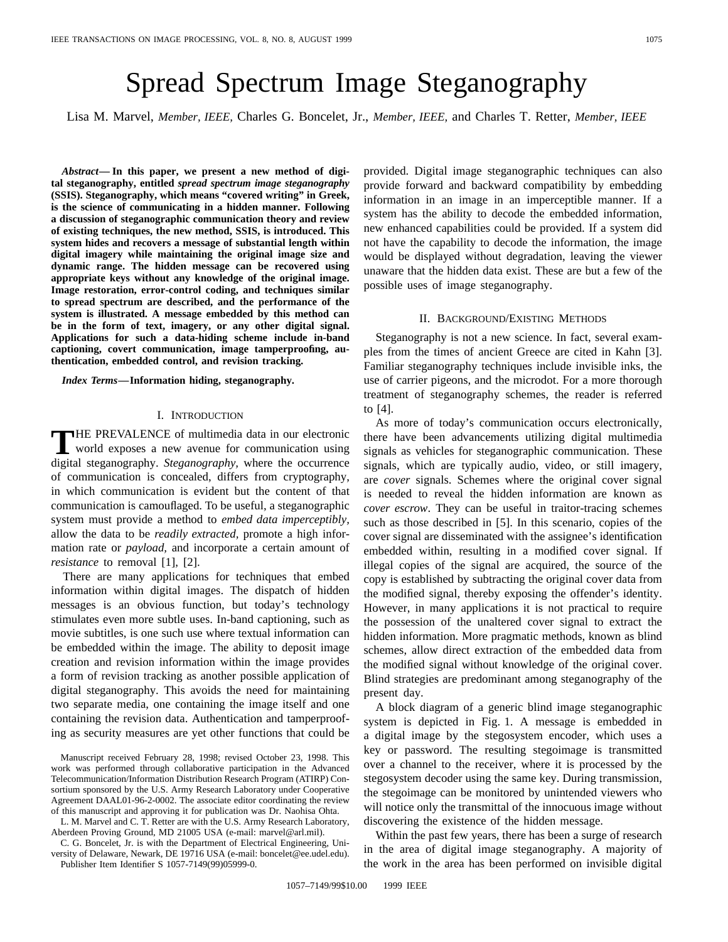# Spread Spectrum Image Steganography

Lisa M. Marvel, *Member, IEEE,* Charles G. Boncelet, Jr., *Member, IEEE,* and Charles T. Retter, *Member, IEEE*

*Abstract—* **In this paper, we present a new method of digital steganography, entitled** *spread spectrum image steganography* **(SSIS). Steganography, which means "covered writing" in Greek, is the science of communicating in a hidden manner. Following a discussion of steganographic communication theory and review of existing techniques, the new method, SSIS, is introduced. This system hides and recovers a message of substantial length within digital imagery while maintaining the original image size and dynamic range. The hidden message can be recovered using appropriate keys without any knowledge of the original image. Image restoration, error-control coding, and techniques similar to spread spectrum are described, and the performance of the system is illustrated. A message embedded by this method can be in the form of text, imagery, or any other digital signal. Applications for such a data-hiding scheme include in-band captioning, covert communication, image tamperproofing, authentication, embedded control, and revision tracking.**

*Index Terms—***Information hiding, steganography.**

## I. INTRODUCTION

**THE PREVALENCE** of multimedia data in our electronic world exposes a new avenue for communication using digital steganography. *Steganography,* where the occurrence of communication is concealed, differs from cryptography, in which communication is evident but the content of that communication is camouflaged. To be useful, a steganographic system must provide a method to *embed data imperceptibly,* allow the data to be *readily extracted,* promote a high information rate or *payload,* and incorporate a certain amount of *resistance* to removal [1], [2].

There are many applications for techniques that embed information within digital images. The dispatch of hidden messages is an obvious function, but today's technology stimulates even more subtle uses. In-band captioning, such as movie subtitles, is one such use where textual information can be embedded within the image. The ability to deposit image creation and revision information within the image provides a form of revision tracking as another possible application of digital steganography. This avoids the need for maintaining two separate media, one containing the image itself and one containing the revision data. Authentication and tamperproofing as security measures are yet other functions that could be

L. M. Marvel and C. T. Retter are with the U.S. Army Research Laboratory, Aberdeen Proving Ground, MD 21005 USA (e-mail: marvel@arl.mil).

C. G. Boncelet, Jr. is with the Department of Electrical Engineering, University of Delaware, Newark, DE 19716 USA (e-mail: boncelet@ee.udel.edu). Publisher Item Identifier S 1057-7149(99)05999-0.

provided. Digital image steganographic techniques can also provide forward and backward compatibility by embedding information in an image in an imperceptible manner. If a system has the ability to decode the embedded information, new enhanced capabilities could be provided. If a system did not have the capability to decode the information, the image would be displayed without degradation, leaving the viewer unaware that the hidden data exist. These are but a few of the possible uses of image steganography.

## II. BACKGROUND/EXISTING METHODS

Steganography is not a new science. In fact, several examples from the times of ancient Greece are cited in Kahn [3]. Familiar steganography techniques include invisible inks, the use of carrier pigeons, and the microdot. For a more thorough treatment of steganography schemes, the reader is referred to [4].

As more of today's communication occurs electronically, there have been advancements utilizing digital multimedia signals as vehicles for steganographic communication. These signals, which are typically audio, video, or still imagery, are *cover* signals. Schemes where the original cover signal is needed to reveal the hidden information are known as *cover escrow*. They can be useful in traitor-tracing schemes such as those described in [5]. In this scenario, copies of the cover signal are disseminated with the assignee's identification embedded within, resulting in a modified cover signal. If illegal copies of the signal are acquired, the source of the copy is established by subtracting the original cover data from the modified signal, thereby exposing the offender's identity. However, in many applications it is not practical to require the possession of the unaltered cover signal to extract the hidden information. More pragmatic methods, known as blind schemes, allow direct extraction of the embedded data from the modified signal without knowledge of the original cover. Blind strategies are predominant among steganography of the present day.

A block diagram of a generic blind image steganographic system is depicted in Fig. 1. A message is embedded in a digital image by the stegosystem encoder, which uses a key or password. The resulting stegoimage is transmitted over a channel to the receiver, where it is processed by the stegosystem decoder using the same key. During transmission, the stegoimage can be monitored by unintended viewers who will notice only the transmittal of the innocuous image without discovering the existence of the hidden message.

Within the past few years, there has been a surge of research in the area of digital image steganography. A majority of the work in the area has been performed on invisible digital

Manuscript received February 28, 1998; revised October 23, 1998. This work was performed through collaborative participation in the Advanced Telecommunication/Information Distribution Research Program (ATIRP) Consortium sponsored by the U.S. Army Research Laboratory under Cooperative Agreement DAAL01-96-2-0002. The associate editor coordinating the review of this manuscript and approving it for publication was Dr. Naohisa Ohta.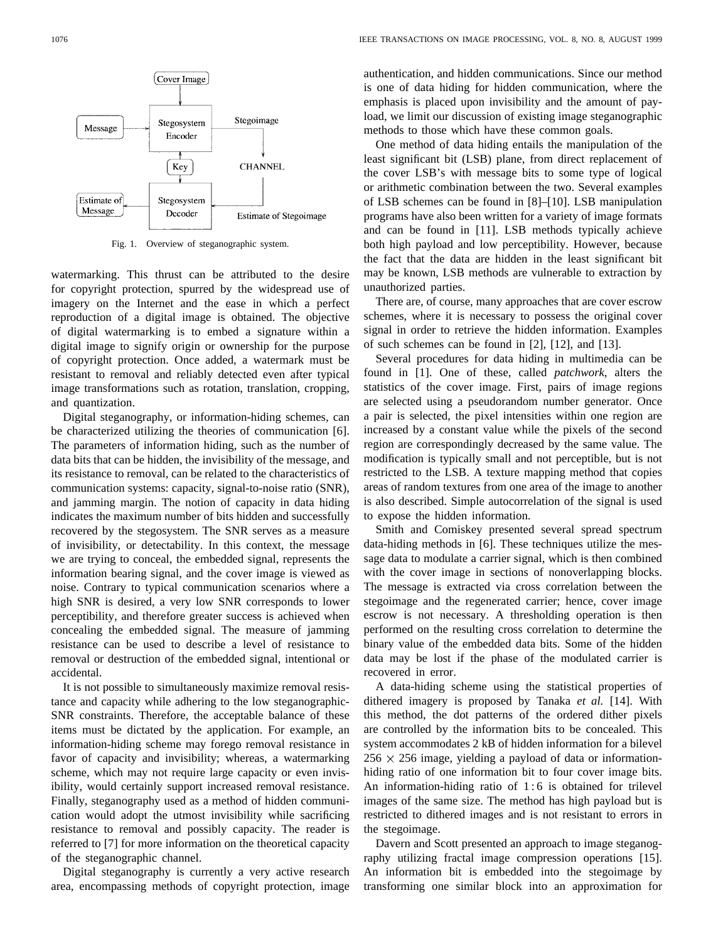

Fig. 1. Overview of steganographic system.

watermarking. This thrust can be attributed to the desire for copyright protection, spurred by the widespread use of imagery on the Internet and the ease in which a perfect reproduction of a digital image is obtained. The objective of digital watermarking is to embed a signature within a digital image to signify origin or ownership for the purpose of copyright protection. Once added, a watermark must be resistant to removal and reliably detected even after typical image transformations such as rotation, translation, cropping, and quantization.

Digital steganography, or information-hiding schemes, can be characterized utilizing the theories of communication [6]. The parameters of information hiding, such as the number of data bits that can be hidden, the invisibility of the message, and its resistance to removal, can be related to the characteristics of communication systems: capacity, signal-to-noise ratio (SNR), and jamming margin. The notion of capacity in data hiding indicates the maximum number of bits hidden and successfully recovered by the stegosystem. The SNR serves as a measure of invisibility, or detectability. In this context, the message we are trying to conceal, the embedded signal, represents the information bearing signal, and the cover image is viewed as noise. Contrary to typical communication scenarios where a high SNR is desired, a very low SNR corresponds to lower perceptibility, and therefore greater success is achieved when concealing the embedded signal. The measure of jamming resistance can be used to describe a level of resistance to removal or destruction of the embedded signal, intentional or accidental.

It is not possible to simultaneously maximize removal resistance and capacity while adhering to the low steganographic-SNR constraints. Therefore, the acceptable balance of these items must be dictated by the application. For example, an information-hiding scheme may forego removal resistance in favor of capacity and invisibility; whereas, a watermarking scheme, which may not require large capacity or even invisibility, would certainly support increased removal resistance. Finally, steganography used as a method of hidden communication would adopt the utmost invisibility while sacrificing resistance to removal and possibly capacity. The reader is referred to [7] for more information on the theoretical capacity of the steganographic channel.

Digital steganography is currently a very active research area, encompassing methods of copyright protection, image

authentication, and hidden communications. Since our method is one of data hiding for hidden communication, where the emphasis is placed upon invisibility and the amount of payload, we limit our discussion of existing image steganographic methods to those which have these common goals.

One method of data hiding entails the manipulation of the least significant bit (LSB) plane, from direct replacement of the cover LSB's with message bits to some type of logical or arithmetic combination between the two. Several examples of LSB schemes can be found in [8]–[10]. LSB manipulation programs have also been written for a variety of image formats and can be found in [11]. LSB methods typically achieve both high payload and low perceptibility. However, because the fact that the data are hidden in the least significant bit may be known, LSB methods are vulnerable to extraction by unauthorized parties.

There are, of course, many approaches that are cover escrow schemes, where it is necessary to possess the original cover signal in order to retrieve the hidden information. Examples of such schemes can be found in [2], [12], and [13].

Several procedures for data hiding in multimedia can be found in [1]. One of these, called *patchwork*, alters the statistics of the cover image. First, pairs of image regions are selected using a pseudorandom number generator. Once a pair is selected, the pixel intensities within one region are increased by a constant value while the pixels of the second region are correspondingly decreased by the same value. The modification is typically small and not perceptible, but is not restricted to the LSB. A texture mapping method that copies areas of random textures from one area of the image to another is also described. Simple autocorrelation of the signal is used to expose the hidden information.

Smith and Comiskey presented several spread spectrum data-hiding methods in [6]. These techniques utilize the message data to modulate a carrier signal, which is then combined with the cover image in sections of nonoverlapping blocks. The message is extracted via cross correlation between the stegoimage and the regenerated carrier; hence, cover image escrow is not necessary. A thresholding operation is then performed on the resulting cross correlation to determine the binary value of the embedded data bits. Some of the hidden data may be lost if the phase of the modulated carrier is recovered in error.

A data-hiding scheme using the statistical properties of dithered imagery is proposed by Tanaka *et al.* [14]. With this method, the dot patterns of the ordered dither pixels are controlled by the information bits to be concealed. This system accommodates 2 kB of hidden information for a bilevel  $256 \times 256$  image, yielding a payload of data or informationhiding ratio of one information bit to four cover image bits. An information-hiding ratio of 1:6 is obtained for trilevel images of the same size. The method has high payload but is restricted to dithered images and is not resistant to errors in the stegoimage.

Davern and Scott presented an approach to image steganography utilizing fractal image compression operations [15]. An information bit is embedded into the stegoimage by transforming one similar block into an approximation for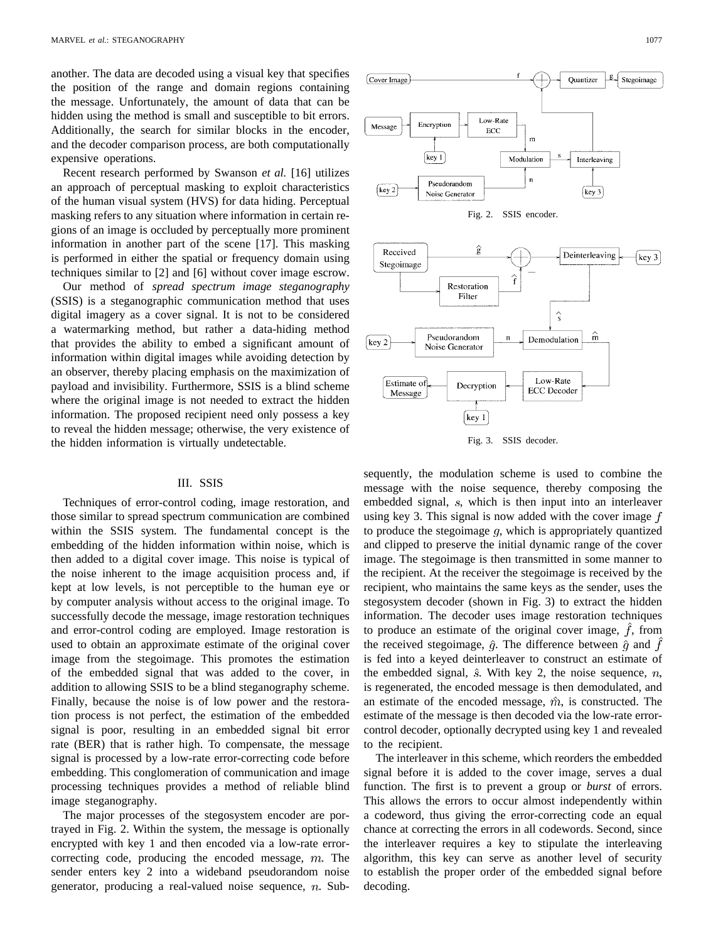another. The data are decoded using a visual key that specifies the position of the range and domain regions containing the message. Unfortunately, the amount of data that can be hidden using the method is small and susceptible to bit errors. Additionally, the search for similar blocks in the encoder, and the decoder comparison process, are both computationally expensive operations.

Recent research performed by Swanson *et al.* [16] utilizes an approach of perceptual masking to exploit characteristics of the human visual system (HVS) for data hiding. Perceptual masking refers to any situation where information in certain regions of an image is occluded by perceptually more prominent information in another part of the scene [17]. This masking is performed in either the spatial or frequency domain using techniques similar to [2] and [6] without cover image escrow.

Our method of *spread spectrum image steganography* (SSIS) is a steganographic communication method that uses digital imagery as a cover signal. It is not to be considered a watermarking method, but rather a data-hiding method that provides the ability to embed a significant amount of information within digital images while avoiding detection by an observer, thereby placing emphasis on the maximization of payload and invisibility. Furthermore, SSIS is a blind scheme where the original image is not needed to extract the hidden information. The proposed recipient need only possess a key to reveal the hidden message; otherwise, the very existence of the hidden information is virtually undetectable.

### III. SSIS

Techniques of error-control coding, image restoration, and those similar to spread spectrum communication are combined within the SSIS system. The fundamental concept is the embedding of the hidden information within noise, which is then added to a digital cover image. This noise is typical of the noise inherent to the image acquisition process and, if kept at low levels, is not perceptible to the human eye or by computer analysis without access to the original image. To successfully decode the message, image restoration techniques and error-control coding are employed. Image restoration is used to obtain an approximate estimate of the original cover image from the stegoimage. This promotes the estimation of the embedded signal that was added to the cover, in addition to allowing SSIS to be a blind steganography scheme. Finally, because the noise is of low power and the restoration process is not perfect, the estimation of the embedded signal is poor, resulting in an embedded signal bit error rate (BER) that is rather high. To compensate, the message signal is processed by a low-rate error-correcting code before embedding. This conglomeration of communication and image processing techniques provides a method of reliable blind image steganography.

The major processes of the stegosystem encoder are portrayed in Fig. 2. Within the system, the message is optionally encrypted with key 1 and then encoded via a low-rate errorcorrecting code, producing the encoded message,  $m$ . The sender enters key 2 into a wideband pseudorandom noise generator, producing a real-valued noise sequence,  $n$ . Sub-



Fig. 3. SSIS decoder.

sequently, the modulation scheme is used to combine the message with the noise sequence, thereby composing the embedded signal,  $s$ , which is then input into an interleaver using key 3. This signal is now added with the cover image  $f$ to produce the stegoimage  $q$ , which is appropriately quantized and clipped to preserve the initial dynamic range of the cover image. The stegoimage is then transmitted in some manner to the recipient. At the receiver the stegoimage is received by the recipient, who maintains the same keys as the sender, uses the stegosystem decoder (shown in Fig. 3) to extract the hidden information. The decoder uses image restoration techniques to produce an estimate of the original cover image,  $\hat{f}$ , from the received stegoimage,  $\hat{g}$ . The difference between  $\hat{g}$  and  $\hat{f}$ is fed into a keyed deinterleaver to construct an estimate of the embedded signal,  $\hat{s}$ . With key 2, the noise sequence,  $n$ , is regenerated, the encoded message is then demodulated, and an estimate of the encoded message,  $\hat{m}$ , is constructed. The estimate of the message is then decoded via the low-rate errorcontrol decoder, optionally decrypted using key 1 and revealed to the recipient.

The interleaver in this scheme, which reorders the embedded signal before it is added to the cover image, serves a dual function. The first is to prevent a group or *burst* of errors. This allows the errors to occur almost independently within a codeword, thus giving the error-correcting code an equal chance at correcting the errors in all codewords. Second, since the interleaver requires a key to stipulate the interleaving algorithm, this key can serve as another level of security to establish the proper order of the embedded signal before decoding.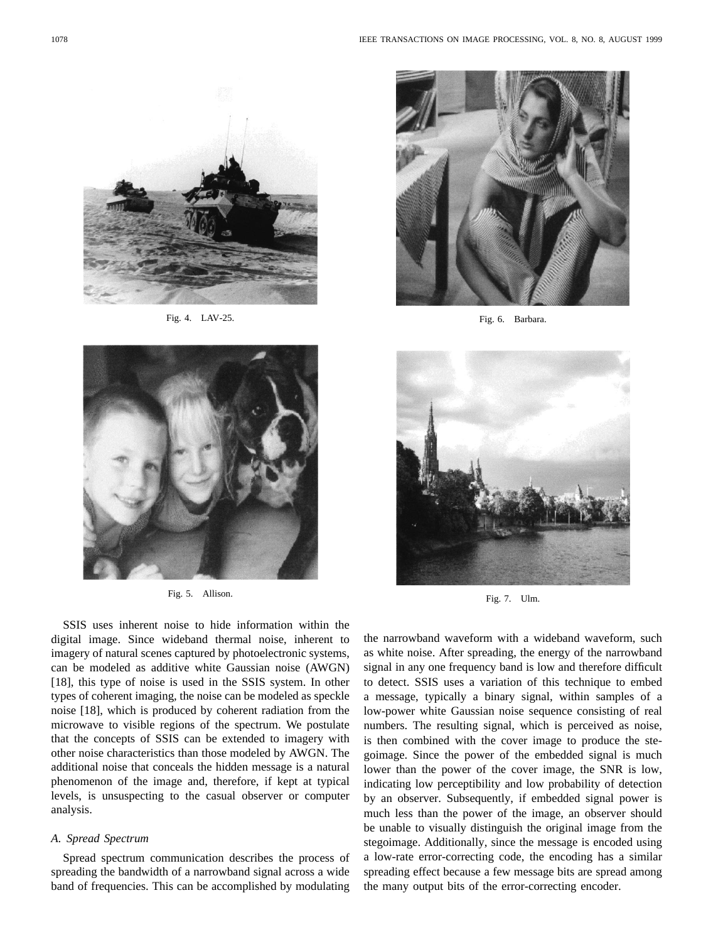

Fig. 4. LAV-25.



Fig. 5. Allison.

SSIS uses inherent noise to hide information within the digital image. Since wideband thermal noise, inherent to imagery of natural scenes captured by photoelectronic systems, can be modeled as additive white Gaussian noise (AWGN) [18], this type of noise is used in the SSIS system. In other types of coherent imaging, the noise can be modeled as speckle noise [18], which is produced by coherent radiation from the microwave to visible regions of the spectrum. We postulate that the concepts of SSIS can be extended to imagery with other noise characteristics than those modeled by AWGN. The additional noise that conceals the hidden message is a natural phenomenon of the image and, therefore, if kept at typical levels, is unsuspecting to the casual observer or computer analysis.

# *A. Spread Spectrum*

Spread spectrum communication describes the process of spreading the bandwidth of a narrowband signal across a wide band of frequencies. This can be accomplished by modulating



Fig. 6. Barbara.



Fig. 7. Ulm.

the narrowband waveform with a wideband waveform, such as white noise. After spreading, the energy of the narrowband signal in any one frequency band is low and therefore difficult to detect. SSIS uses a variation of this technique to embed a message, typically a binary signal, within samples of a low-power white Gaussian noise sequence consisting of real numbers. The resulting signal, which is perceived as noise, is then combined with the cover image to produce the stegoimage. Since the power of the embedded signal is much lower than the power of the cover image, the SNR is low, indicating low perceptibility and low probability of detection by an observer. Subsequently, if embedded signal power is much less than the power of the image, an observer should be unable to visually distinguish the original image from the stegoimage. Additionally, since the message is encoded using a low-rate error-correcting code, the encoding has a similar spreading effect because a few message bits are spread among the many output bits of the error-correcting encoder.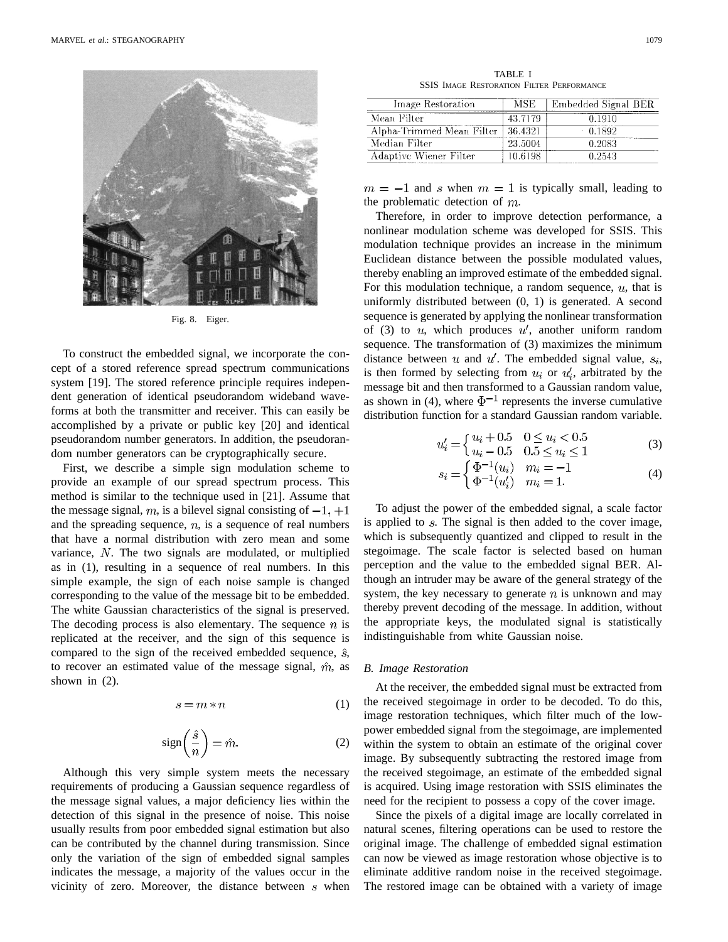

Fig. 8. Eiger.

To construct the embedded signal, we incorporate the concept of a stored reference spread spectrum communications system [19]. The stored reference principle requires independent generation of identical pseudorandom wideband waveforms at both the transmitter and receiver. This can easily be accomplished by a private or public key [20] and identical pseudorandom number generators. In addition, the pseudorandom number generators can be cryptographically secure.

First, we describe a simple sign modulation scheme to provide an example of our spread spectrum process. This method is similar to the technique used in [21]. Assume that the message signal, m, is a bilevel signal consisting of  $-1$ ,  $+1$ and the spreading sequence,  $n$ , is a sequence of real numbers that have a normal distribution with zero mean and some variance,  $N$ . The two signals are modulated, or multiplied as in (1), resulting in a sequence of real numbers. In this simple example, the sign of each noise sample is changed corresponding to the value of the message bit to be embedded. The white Gaussian characteristics of the signal is preserved. The decoding process is also elementary. The sequence  $n$  is replicated at the receiver, and the sign of this sequence is compared to the sign of the received embedded sequence,  $\hat{s}$ , to recover an estimated value of the message signal,  $\hat{m}$ , as shown in (2).

$$
s = m * n \tag{1}
$$

$$
\text{sign}\left(\frac{\hat{s}}{n}\right) = \hat{m}.\tag{2}
$$

Although this very simple system meets the necessary requirements of producing a Gaussian sequence regardless of the message signal values, a major deficiency lies within the detection of this signal in the presence of noise. This noise usually results from poor embedded signal estimation but also can be contributed by the channel during transmission. Since only the variation of the sign of embedded signal samples indicates the message, a majority of the values occur in the vicinity of zero. Moreover, the distance between  $s$  when

TABLE I SSIS IMAGE RESTORATION FILTER PERFORMANCE

| Image Restoration         | MSE.     | Embedded Signal BER |
|---------------------------|----------|---------------------|
| Mean Filter               | 43.7179  | 0.1910              |
| Alpha-Trimmed Mean Filter | -36.4321 | $-0.1892$           |
| Median Filter             | 23,5004  | 0.2083              |
| Adaptive Wiener Filter    | 10.6198  | 0.2543              |

 $m = -1$  and s when  $m = 1$  is typically small, leading to the problematic detection of  $m$ .

Therefore, in order to improve detection performance, a nonlinear modulation scheme was developed for SSIS. This modulation technique provides an increase in the minimum Euclidean distance between the possible modulated values, thereby enabling an improved estimate of the embedded signal. For this modulation technique, a random sequence,  $u$ , that is uniformly distributed between (0, 1) is generated. A second sequence is generated by applying the nonlinear transformation of (3) to  $u$ , which produces  $u'$ , another uniform random sequence. The transformation of (3) maximizes the minimum distance between  $u$  and  $u'$ . The embedded signal value,  $s_i$ , is then formed by selecting from  $u_i$  or  $u'_i$ , arbitrated by the message bit and then transformed to a Gaussian random value, as shown in (4), where  $\Phi^{-1}$  represents the inverse cumulative distribution function for a standard Gaussian random variable.

$$
u'_{i} = \begin{cases} u_{i} + 0.5 & 0 \le u_{i} < 0.5 \\ u_{i} - 0.5 & 0.5 \le u_{i} \le 1 \end{cases}
$$
 (3)

$$
s_i = \begin{cases} \Phi^{-1}(u_i) & m_i = -1 \\ \Phi^{-1}(u'_i) & m_i = 1. \end{cases}
$$
 (4)

To adjust the power of the embedded signal, a scale factor is applied to  $s$ . The signal is then added to the cover image, which is subsequently quantized and clipped to result in the stegoimage. The scale factor is selected based on human perception and the value to the embedded signal BER. Although an intruder may be aware of the general strategy of the system, the key necessary to generate  $n$  is unknown and may thereby prevent decoding of the message. In addition, without the appropriate keys, the modulated signal is statistically indistinguishable from white Gaussian noise.

## *B. Image Restoration*

At the receiver, the embedded signal must be extracted from the received stegoimage in order to be decoded. To do this, image restoration techniques, which filter much of the lowpower embedded signal from the stegoimage, are implemented within the system to obtain an estimate of the original cover image. By subsequently subtracting the restored image from the received stegoimage, an estimate of the embedded signal is acquired. Using image restoration with SSIS eliminates the need for the recipient to possess a copy of the cover image.

Since the pixels of a digital image are locally correlated in natural scenes, filtering operations can be used to restore the original image. The challenge of embedded signal estimation can now be viewed as image restoration whose objective is to eliminate additive random noise in the received stegoimage. The restored image can be obtained with a variety of image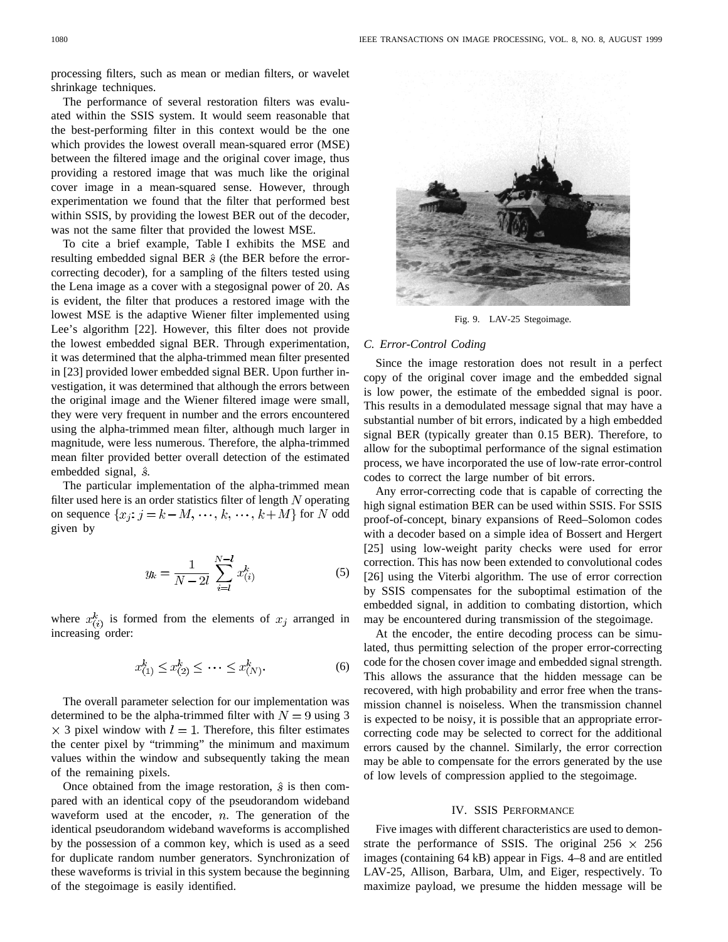processing filters, such as mean or median filters, or wavelet shrinkage techniques.

The performance of several restoration filters was evaluated within the SSIS system. It would seem reasonable that the best-performing filter in this context would be the one which provides the lowest overall mean-squared error (MSE) between the filtered image and the original cover image, thus providing a restored image that was much like the original cover image in a mean-squared sense. However, through experimentation we found that the filter that performed best within SSIS, by providing the lowest BER out of the decoder, was not the same filter that provided the lowest MSE.

To cite a brief example, Table I exhibits the MSE and resulting embedded signal BER  $\hat{s}$  (the BER before the errorcorrecting decoder), for a sampling of the filters tested using the Lena image as a cover with a stegosignal power of 20. As is evident, the filter that produces a restored image with the lowest MSE is the adaptive Wiener filter implemented using Lee's algorithm [22]. However, this filter does not provide the lowest embedded signal BER. Through experimentation, it was determined that the alpha-trimmed mean filter presented in [23] provided lower embedded signal BER. Upon further investigation, it was determined that although the errors between the original image and the Wiener filtered image were small, they were very frequent in number and the errors encountered using the alpha-trimmed mean filter, although much larger in magnitude, were less numerous. Therefore, the alpha-trimmed mean filter provided better overall detection of the estimated embedded signal,  $\hat{s}$ .

The particular implementation of the alpha-trimmed mean filter used here is an order statistics filter of length  $N$  operating on sequence  $\{x_j : j = k - M, \dots, k, \dots, k + M\}$  for N odd given by

$$
y_k = \frac{1}{N - 2l} \sum_{i=l}^{N-l} x_{(i)}^k
$$
 (5)

where  $x_{(i)}^k$  is formed from the elements of  $x_j$  arranged in increasing order:

$$
x_{(1)}^k \le x_{(2)}^k \le \dots \le x_{(N)}^k. \tag{6}
$$

The overall parameter selection for our implementation was determined to be the alpha-trimmed filter with  $N = 9$  using 3  $\times$  3 pixel window with  $l = 1$ . Therefore, this filter estimates the center pixel by "trimming" the minimum and maximum values within the window and subsequently taking the mean of the remaining pixels.

Once obtained from the image restoration,  $\hat{s}$  is then compared with an identical copy of the pseudorandom wideband waveform used at the encoder,  $n$ . The generation of the identical pseudorandom wideband waveforms is accomplished by the possession of a common key, which is used as a seed for duplicate random number generators. Synchronization of these waveforms is trivial in this system because the beginning of the stegoimage is easily identified.



Fig. 9. LAV-25 Stegoimage.

# *C. Error-Control Coding*

Since the image restoration does not result in a perfect copy of the original cover image and the embedded signal is low power, the estimate of the embedded signal is poor. This results in a demodulated message signal that may have a substantial number of bit errors, indicated by a high embedded signal BER (typically greater than 0.15 BER). Therefore, to allow for the suboptimal performance of the signal estimation process, we have incorporated the use of low-rate error-control codes to correct the large number of bit errors.

Any error-correcting code that is capable of correcting the high signal estimation BER can be used within SSIS. For SSIS proof-of-concept, binary expansions of Reed–Solomon codes with a decoder based on a simple idea of Bossert and Hergert [25] using low-weight parity checks were used for error correction. This has now been extended to convolutional codes [26] using the Viterbi algorithm. The use of error correction by SSIS compensates for the suboptimal estimation of the embedded signal, in addition to combating distortion, which may be encountered during transmission of the stegoimage.

At the encoder, the entire decoding process can be simulated, thus permitting selection of the proper error-correcting code for the chosen cover image and embedded signal strength. This allows the assurance that the hidden message can be recovered, with high probability and error free when the transmission channel is noiseless. When the transmission channel is expected to be noisy, it is possible that an appropriate errorcorrecting code may be selected to correct for the additional errors caused by the channel. Similarly, the error correction may be able to compensate for the errors generated by the use of low levels of compression applied to the stegoimage.

## IV. SSIS PERFORMANCE

Five images with different characteristics are used to demonstrate the performance of SSIS. The original  $256 \times 256$ images (containing 64 kB) appear in Figs. 4–8 and are entitled LAV-25, Allison, Barbara, Ulm, and Eiger, respectively. To maximize payload, we presume the hidden message will be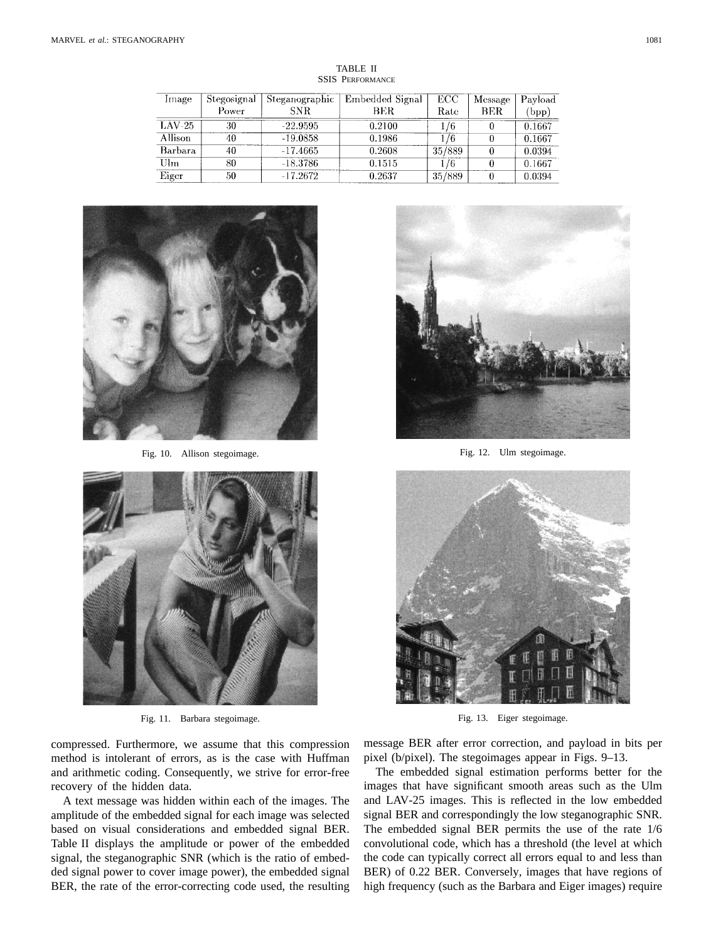| Image    | Stegosignal | Steganographic | Embedded Signal | ECC.   | Message | Payload                     |
|----------|-------------|----------------|-----------------|--------|---------|-----------------------------|
|          | Power       | SNR.           | BER.            | Rate   | BER.    | $\left( \text{bpp} \right)$ |
| $LAV-25$ | 30          | $-22.9595$     | 0.2100          | 176    |         | 0.1667                      |
| Allison  | 40          | $-19.0858$     | 0.1986          | 76     |         | 0.1667                      |
| Barbara  | 40          | $-17.4665$     | 0.2608          | 35/889 | 0       | 0.0394                      |
| Ulm      | 80          | $-18.3786$     | 0.1515          | l /6   |         | 0.1667                      |
| Eiger    | 50          | $-17.2672$     | 0.2637          | 35/889 |         | 0.0394                      |

TABLE II SSIS PERFORMANCE



Fig. 10. Allison stegoimage.



Fig. 11. Barbara stegoimage.

compressed. Furthermore, we assume that this compression method is intolerant of errors, as is the case with Huffman and arithmetic coding. Consequently, we strive for error-free recovery of the hidden data.

A text message was hidden within each of the images. The amplitude of the embedded signal for each image was selected based on visual considerations and embedded signal BER. Table II displays the amplitude or power of the embedded signal, the steganographic SNR (which is the ratio of embedded signal power to cover image power), the embedded signal BER, the rate of the error-correcting code used, the resulting



Fig. 12. Ulm stegoimage.



Fig. 13. Eiger stegoimage.

message BER after error correction, and payload in bits per pixel (b/pixel). The stegoimages appear in Figs. 9–13.

The embedded signal estimation performs better for the images that have significant smooth areas such as the Ulm and LAV-25 images. This is reflected in the low embedded signal BER and correspondingly the low steganographic SNR. The embedded signal BER permits the use of the rate 1/6 convolutional code, which has a threshold (the level at which the code can typically correct all errors equal to and less than BER) of 0.22 BER. Conversely, images that have regions of high frequency (such as the Barbara and Eiger images) require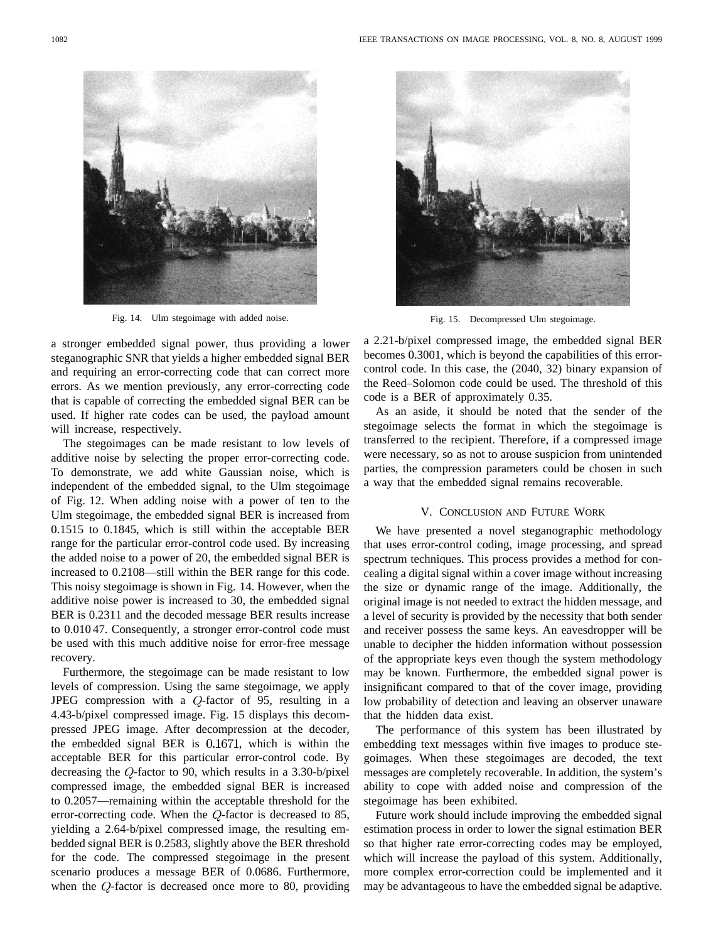

Fig. 14. Ulm stegoimage with added noise.

a stronger embedded signal power, thus providing a lower steganographic SNR that yields a higher embedded signal BER and requiring an error-correcting code that can correct more errors. As we mention previously, any error-correcting code that is capable of correcting the embedded signal BER can be used. If higher rate codes can be used, the payload amount will increase, respectively.

The stegoimages can be made resistant to low levels of additive noise by selecting the proper error-correcting code. To demonstrate, we add white Gaussian noise, which is independent of the embedded signal, to the Ulm stegoimage of Fig. 12. When adding noise with a power of ten to the Ulm stegoimage, the embedded signal BER is increased from 0.1515 to 0.1845, which is still within the acceptable BER range for the particular error-control code used. By increasing the added noise to a power of 20, the embedded signal BER is increased to 0.2108—still within the BER range for this code. This noisy stegoimage is shown in Fig. 14. However, when the additive noise power is increased to 30, the embedded signal BER is 0.2311 and the decoded message BER results increase to 0.010 47. Consequently, a stronger error-control code must be used with this much additive noise for error-free message recovery.

Furthermore, the stegoimage can be made resistant to low levels of compression. Using the same stegoimage, we apply JPEG compression with a  $Q$ -factor of 95, resulting in a 4.43-b/pixel compressed image. Fig. 15 displays this decompressed JPEG image. After decompression at the decoder, the embedded signal BER is  $0.1671$ , which is within the acceptable BER for this particular error-control code. By decreasing the  $Q$ -factor to 90, which results in a 3.30-b/pixel compressed image, the embedded signal BER is increased to 0.2057—remaining within the acceptable threshold for the error-correcting code. When the  $Q$ -factor is decreased to 85, yielding a 2.64-b/pixel compressed image, the resulting embedded signal BER is 0.2583, slightly above the BER threshold for the code. The compressed stegoimage in the present scenario produces a message BER of 0.0686. Furthermore, when the  $Q$ -factor is decreased once more to 80, providing



Fig. 15. Decompressed Ulm stegoimage.

a 2.21-b/pixel compressed image, the embedded signal BER becomes 0.3001, which is beyond the capabilities of this errorcontrol code. In this case, the (2040, 32) binary expansion of the Reed–Solomon code could be used. The threshold of this code is a BER of approximately 0.35.

As an aside, it should be noted that the sender of the stegoimage selects the format in which the stegoimage is transferred to the recipient. Therefore, if a compressed image were necessary, so as not to arouse suspicion from unintended parties, the compression parameters could be chosen in such a way that the embedded signal remains recoverable.

## V. CONCLUSION AND FUTURE WORK

We have presented a novel steganographic methodology that uses error-control coding, image processing, and spread spectrum techniques. This process provides a method for concealing a digital signal within a cover image without increasing the size or dynamic range of the image. Additionally, the original image is not needed to extract the hidden message, and a level of security is provided by the necessity that both sender and receiver possess the same keys. An eavesdropper will be unable to decipher the hidden information without possession of the appropriate keys even though the system methodology may be known. Furthermore, the embedded signal power is insignificant compared to that of the cover image, providing low probability of detection and leaving an observer unaware that the hidden data exist.

The performance of this system has been illustrated by embedding text messages within five images to produce stegoimages. When these stegoimages are decoded, the text messages are completely recoverable. In addition, the system's ability to cope with added noise and compression of the stegoimage has been exhibited.

Future work should include improving the embedded signal estimation process in order to lower the signal estimation BER so that higher rate error-correcting codes may be employed, which will increase the payload of this system. Additionally, more complex error-correction could be implemented and it may be advantageous to have the embedded signal be adaptive.